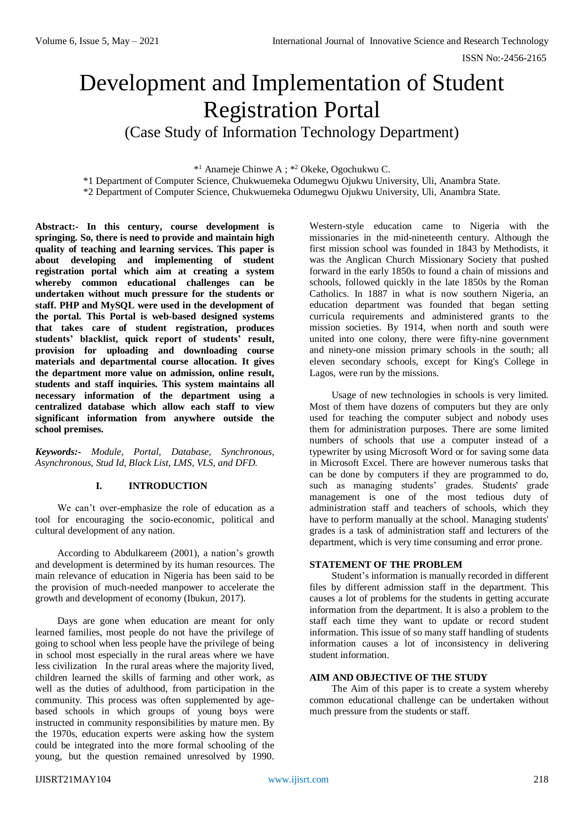# Development and Implementation of Student Registration Portal

(Case Study of Information Technology Department)

\* <sup>1</sup> Anameje Chinwe A ; \* <sup>2</sup> Okeke, Ogochukwu C.

\*1 Department of Computer Science, Chukwuemeka Odumegwu Ojukwu University, Uli, Anambra State. \*2 Department of Computer Science, Chukwuemeka Odumegwu Ojukwu University, Uli, Anambra State.

**Abstract:- In this century, course development is springing. So, there is need to provide and maintain high quality of teaching and learning services. This paper is about developing and implementing of student registration portal which aim at creating a system whereby common educational challenges can be undertaken without much pressure for the students or staff. PHP and MySQL were used in the development of the portal. This Portal is web-based designed systems that takes care of student registration, produces students' blacklist, quick report of students' result, provision for uploading and downloading course materials and departmental course allocation. It gives the department more value on admission, online result, students and staff inquiries. This system maintains all necessary information of the department using a centralized database which allow each staff to view significant information from anywhere outside the school premises.** 

*Keywords:- Module, Portal, Database, Synchronous, Asynchronous, Stud Id, Black List, LMS, VLS, and DFD.*

## **I. INTRODUCTION**

We can't over-emphasize the role of education as a tool for encouraging the socio-economic, political and cultural development of any nation.

According to Abdulkareem (2001), a nation's growth and development is determined by its human resources. The main relevance of education in Nigeria has been said to be the provision of much-needed manpower to accelerate the growth and development of economy (Ibukun, 2017).

Days are gone when education are meant for only learned families, most people do not have the privilege of going to school when less people have the privilege of being in school most especially in the rural areas where we have less civilization In the rural areas where the majority lived, children learned the skills of farming and other work, as well as the duties of adulthood, from participation in the community. This process was often supplemented by agebased schools in which groups of young boys were instructed in community responsibilities by mature men. By the 1970s, education experts were asking how the system could be integrated into the more formal schooling of the young, but the question remained unresolved by 1990. Western-style education came to Nigeria with the missionaries in the mid-nineteenth century. Although the first mission school was founded in 1843 by Methodists, it was the Anglican Church Missionary Society that pushed forward in the early 1850s to found a chain of missions and schools, followed quickly in the late 1850s by the Roman Catholics. In 1887 in what is now southern Nigeria, an education department was founded that began setting curricula requirements and administered grants to the mission societies. By 1914, when north and south were united into one colony, there were fifty-nine government and ninety-one mission primary schools in the south; all eleven secondary schools, except for King's College in Lagos, were run by the missions.

Usage of new technologies in schools is very limited. Most of them have dozens of computers but they are only used for teaching the computer subject and nobody uses them for administration purposes. There are some limited numbers of schools that use a computer instead of a typewriter by using Microsoft Word or for saving some data in Microsoft Excel. There are however numerous tasks that can be done by computers if they are programmed to do, such as managing students' grades. Students' grade management is one of the most tedious duty of administration staff and teachers of schools, which they have to perform manually at the school. Managing students' grades is a task of administration staff and lecturers of the department, which is very time consuming and error prone.

## **STATEMENT OF THE PROBLEM**

Student's information is manually recorded in different files by different admission staff in the department. This causes a lot of problems for the students in getting accurate information from the department. It is also a problem to the staff each time they want to update or record student information. This issue of so many staff handling of students information causes a lot of inconsistency in delivering student information.

#### **AIM AND OBJECTIVE OF THE STUDY**

The Aim of this paper is to create a system whereby common educational challenge can be undertaken without much pressure from the students or staff.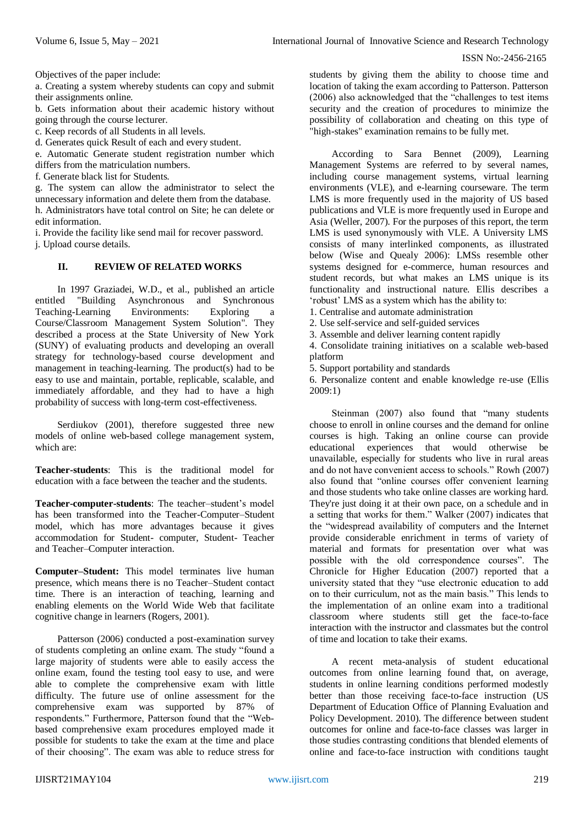Objectives of the paper include:

a. Creating a system whereby students can copy and submit their assignments online.

b. Gets information about their academic history without going through the course lecturer.

c. Keep records of all Students in all levels.

d. Generates quick Result of each and every student.

e. Automatic Generate student registration number which differs from the matriculation numbers.

f. Generate black list for Students.

g. The system can allow the administrator to select the unnecessary information and delete them from the database. h. Administrators have total control on Site; he can delete or edit information.

i. Provide the facility like send mail for recover password. j. Upload course details.

# **II. REVIEW OF RELATED WORKS**

In 1997 Graziadei, W.D., et al., published an article entitled "Building Asynchronous and Synchronous Teaching-Learning Environments: Exploring a Course/Classroom Management System Solution". They described a process at the State University of New York (SUNY) of evaluating products and developing an overall strategy for technology-based course development and management in teaching-learning. The product(s) had to be easy to use and maintain, portable, replicable, scalable, and immediately affordable, and they had to have a high probability of success with long-term cost-effectiveness.

Serdiukov (2001), therefore suggested three new models of online web-based college management system, which are:

**Teacher-students**: This is the traditional model for education with a face between the teacher and the students.

**Teacher-computer-students**: The teacher–student's model has been transformed into the Teacher-Computer–Student model, which has more advantages because it gives accommodation for Student- computer, Student- Teacher and Teacher–Computer interaction.

**Computer–Student:** This model terminates live human presence, which means there is no Teacher–Student contact time. There is an interaction of teaching, learning and enabling elements on the World Wide Web that facilitate cognitive change in learners (Rogers, 2001).

Patterson (2006) conducted a post-examination survey of students completing an online exam. The study "found a large majority of students were able to easily access the online exam, found the testing tool easy to use, and were able to complete the comprehensive exam with little difficulty. The future use of online assessment for the comprehensive exam was supported by 87% of respondents." Furthermore, Patterson found that the "Webbased comprehensive exam procedures employed made it possible for students to take the exam at the time and place of their choosing". The exam was able to reduce stress for

students by giving them the ability to choose time and location of taking the exam according to Patterson. Patterson (2006) also acknowledged that the "challenges to test items security and the creation of procedures to minimize the possibility of collaboration and cheating on this type of "high-stakes" examination remains to be fully met.

According to Sara Bennet (2009), Learning Management Systems are referred to by several names, including course management systems, virtual learning environments (VLE), and e-learning courseware. The term LMS is more frequently used in the majority of US based publications and VLE is more frequently used in Europe and Asia (Weller, 2007). For the purposes of this report, the term LMS is used synonymously with VLE. A University LMS consists of many interlinked components, as illustrated below (Wise and Quealy 2006): LMSs resemble other systems designed for e-commerce, human resources and student records, but what makes an LMS unique is its functionality and instructional nature. Ellis describes a 'robust' LMS as a system which has the ability to:

1. Centralise and automate administration

2. Use self-service and self-guided services

3. Assemble and deliver learning content rapidly

4. Consolidate training initiatives on a scalable web-based platform

5. Support portability and standards

6. Personalize content and enable knowledge re-use (Ellis 2009:1)

Steinman (2007) also found that "many students choose to enroll in online courses and the demand for online courses is high. Taking an online course can provide educational experiences that would otherwise be unavailable, especially for students who live in rural areas and do not have convenient access to schools." Rowh (2007) also found that "online courses offer convenient learning and those students who take online classes are working hard. They're just doing it at their own pace, on a schedule and in a setting that works for them." Walker (2007) indicates that the "widespread availability of computers and the Internet provide considerable enrichment in terms of variety of material and formats for presentation over what was possible with the old correspondence courses". The Chronicle for Higher Education (2007) reported that a university stated that they "use electronic education to add on to their curriculum, not as the main basis." This lends to the implementation of an online exam into a traditional classroom where students still get the face-to-face interaction with the instructor and classmates but the control of time and location to take their exams.

A recent meta-analysis of student educational outcomes from online learning found that, on average, students in online learning conditions performed modestly better than those receiving face-to-face instruction (US Department of Education Office of Planning Evaluation and Policy Development. 2010). The difference between student outcomes for online and face-to-face classes was larger in those studies contrasting conditions that blended elements of online and face-to-face instruction with conditions taught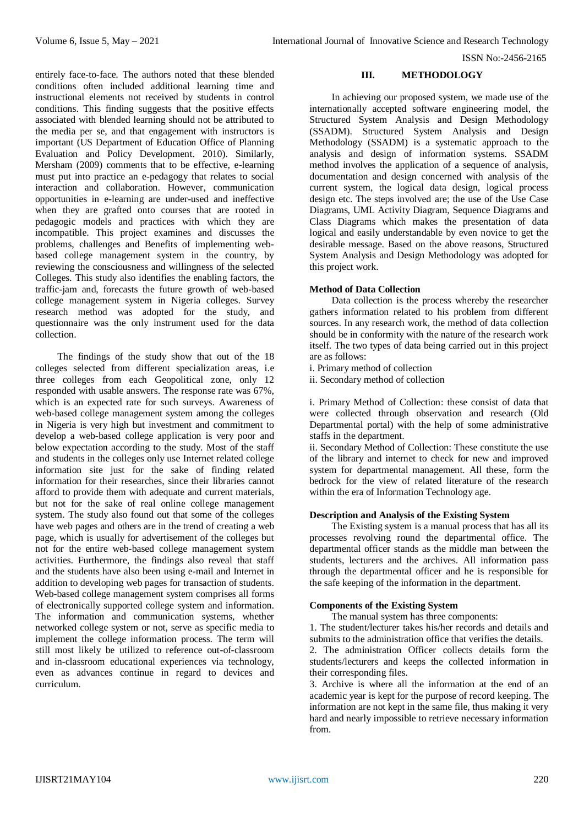entirely face-to-face. The authors noted that these blended conditions often included additional learning time and instructional elements not received by students in control conditions. This finding suggests that the positive effects associated with blended learning should not be attributed to the media per se, and that engagement with instructors is important (US Department of Education Office of Planning Evaluation and Policy Development. 2010). Similarly, Mersham (2009) comments that to be effective, e-learning must put into practice an e-pedagogy that relates to social interaction and collaboration. However, communication opportunities in e-learning are under-used and ineffective when they are grafted onto courses that are rooted in pedagogic models and practices with which they are incompatible. This project examines and discusses the problems, challenges and Benefits of implementing webbased college management system in the country, by reviewing the consciousness and willingness of the selected Colleges. This study also identifies the enabling factors, the traffic-jam and, forecasts the future growth of web-based college management system in Nigeria colleges. Survey research method was adopted for the study, and questionnaire was the only instrument used for the data collection.

The findings of the study show that out of the 18 colleges selected from different specialization areas, i.e three colleges from each Geopolitical zone, only 12 responded with usable answers. The response rate was 67%, which is an expected rate for such surveys. Awareness of web-based college management system among the colleges in Nigeria is very high but investment and commitment to develop a web-based college application is very poor and below expectation according to the study. Most of the staff and students in the colleges only use Internet related college information site just for the sake of finding related information for their researches, since their libraries cannot afford to provide them with adequate and current materials, but not for the sake of real online college management system. The study also found out that some of the colleges have web pages and others are in the trend of creating a web page, which is usually for advertisement of the colleges but not for the entire web-based college management system activities. Furthermore, the findings also reveal that staff and the students have also been using e-mail and Internet in addition to developing web pages for transaction of students. Web-based college management system comprises all forms of electronically supported college system and information. The information and communication systems, whether networked college system or not, serve as specific media to implement the college information process. The term will still most likely be utilized to reference out-of-classroom and in-classroom educational experiences via technology, even as advances continue in regard to devices and curriculum.

## **III. METHODOLOGY**

In achieving our proposed system, we made use of the internationally accepted software engineering model, the Structured System Analysis and Design Methodology (SSADM). Structured System Analysis and Design Methodology (SSADM) is a systematic approach to the analysis and design of information systems. SSADM method involves the application of a sequence of analysis, documentation and design concerned with analysis of the current system, the logical data design, logical process design etc. The steps involved are; the use of the Use Case Diagrams, UML Activity Diagram, Sequence Diagrams and Class Diagrams which makes the presentation of data logical and easily understandable by even novice to get the desirable message. Based on the above reasons, Structured System Analysis and Design Methodology was adopted for this project work.

## **Method of Data Collection**

Data collection is the process whereby the researcher gathers information related to his problem from different sources. In any research work, the method of data collection should be in conformity with the nature of the research work itself. The two types of data being carried out in this project are as follows:

i. Primary method of collection

ii. Secondary method of collection

i. Primary Method of Collection: these consist of data that were collected through observation and research (Old Departmental portal) with the help of some administrative staffs in the department.

ii. Secondary Method of Collection: These constitute the use of the library and internet to check for new and improved system for departmental management. All these, form the bedrock for the view of related literature of the research within the era of Information Technology age.

## **Description and Analysis of the Existing System**

The Existing system is a manual process that has all its processes revolving round the departmental office. The departmental officer stands as the middle man between the students, lecturers and the archives. All information pass through the departmental officer and he is responsible for the safe keeping of the information in the department.

## **Components of the Existing System**

The manual system has three components:

1. The student/lecturer takes his/her records and details and submits to the administration office that verifies the details.

2. The administration Officer collects details form the students/lecturers and keeps the collected information in their corresponding files.

3. Archive is where all the information at the end of an academic year is kept for the purpose of record keeping. The information are not kept in the same file, thus making it very hard and nearly impossible to retrieve necessary information from.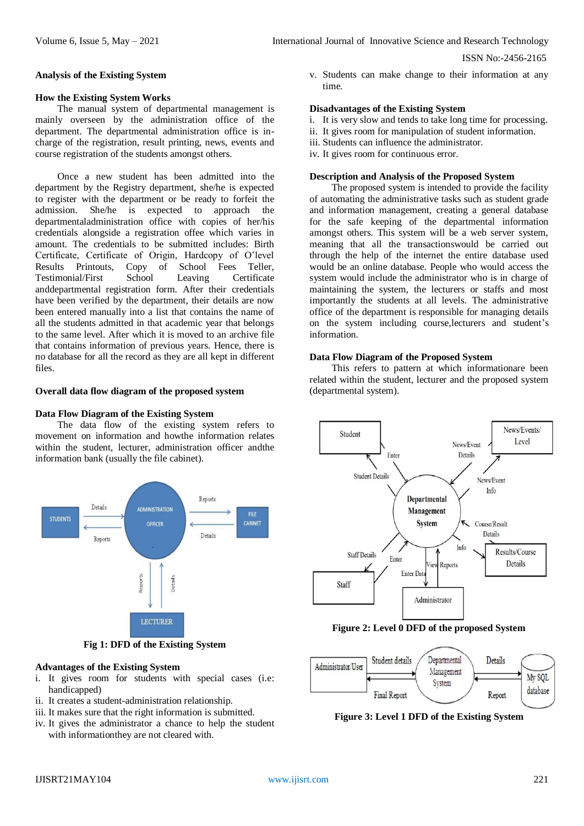#### **Analysis of the Existing System**

## **How the Existing System Works**

The manual system of departmental management is mainly overseen by the administration office of the department. The departmental administration office is incharge of the registration, result printing, news, events and course registration of the students amongst others.

Once a new student has been admitted into the department by the Registry department, she/he is expected to register with the department or be ready to forfeit the admission. She/he is expected to approach the departmentaladministration office with copies of her/his credentials alongside a registration offee which varies in amount. The credentials to be submitted includes: Birth Certificate, Certificate of Origin, Hardcopy of O'level Results Printouts, Copy of School Fees Teller, Testimonial/First School Leaving Certificate anddepartmental registration form. After their credentials have been verified by the department, their details are now been entered manually into a list that contains the name of all the students admitted in that academic year that belongs to the same level. After which it is moved to an archive file that contains information of previous years. Hence, there is no database for all the record as they are all kept in different files.

## **Overall data flow diagram of the proposed system**

## **Data Flow Diagram of the Existing System**

The data flow of the existing system refers to movement on information and howthe information relates within the student, lecturer, administration officer andthe information bank (usually the file cabinet).



**Fig 1: DFD of the Existing System**

#### **Advantages of the Existing System**

- i. It gives room for students with special cases (i.e: handicapped)
- ii. It creates a student-administration relationship.
- iii. It makes sure that the right information is submitted.
- iv. It gives the administrator a chance to help the student with informationthey are not cleared with.

v. Students can make change to their information at any time.

# **Disadvantages of the Existing System**

- i. It is very slow and tends to take long time for processing.
- ii. It gives room for manipulation of student information.
- iii. Students can influence the administrator.
- iv. It gives room for continuous error.

#### **Description and Analysis of the Proposed System**

The proposed system is intended to provide the facility of automating the administrative tasks such as student grade and information management, creating a general database for the safe keeping of the departmental information amongst others. This system will be a web server system, meaning that all the transactionswould be carried out through the help of the internet the entire database used would be an online database. People who would access the system would include the administrator who is in charge of maintaining the system, the lecturers or staffs and most importantly the students at all levels. The administrative office of the department is responsible for managing details on the system including course,lecturers and student's information.

#### **Data Flow Diagram of the Proposed System**

This refers to pattern at which informationare been related within the student, lecturer and the proposed system (departmental system).



**Figure 2: Level 0 DFD of the proposed System**



**Figure 3: Level 1 DFD of the Existing System**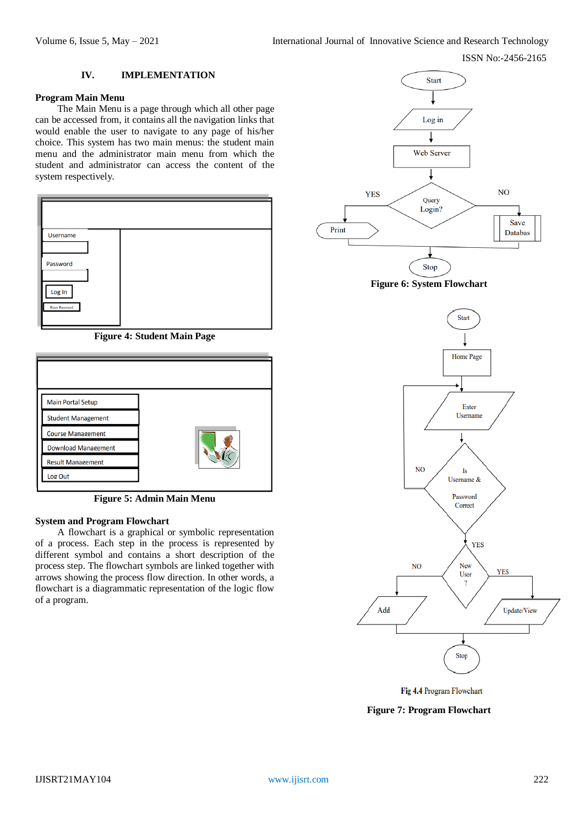## **IV. IMPLEMENTATION**

#### **Program Main Menu**

The Main Menu is a page through which all other page can be accessed from, it contains all the navigation links that would enable the user to navigate to any page of his/her choice. This system has two main menus: the student main menu and the administrator main menu from which the student and administrator can access the content of the system respectively.



**Figure 4: Student Main Page**

**Figure 5: Admin Main Menu**

# **System and Program Flowchart**

A flowchart is a graphical or symbolic representation of a process. Each step in the process is represented by different symbol and contains a short description of the process step. The flowchart symbols are linked together with arrows showing the process flow direction. In other words, a flowchart is a diagrammatic representation of the logic flow of a program.







Fig 4.4 Program Flowchart

**Figure 7: Program Flowchart**